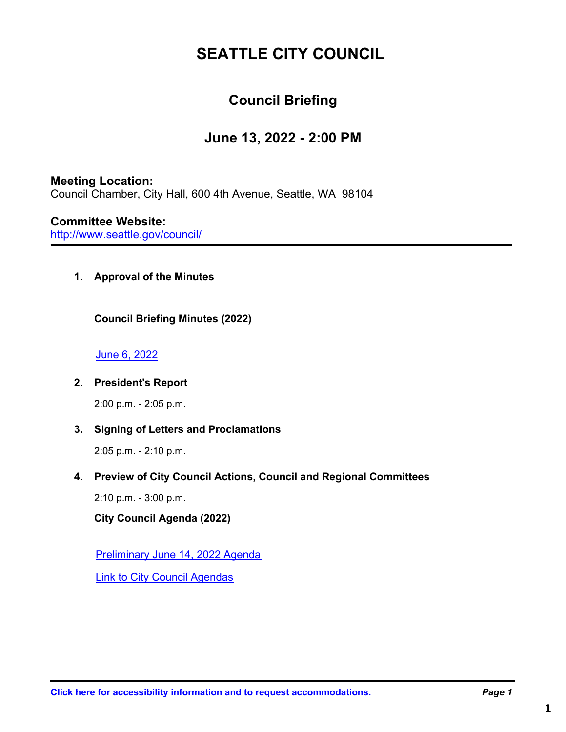# **SEATTLE CITY COUNCIL**

# **Council Briefing**

# **June 13, 2022 - 2:00 PM**

## **Meeting Location:**

Council Chamber, City Hall, 600 4th Avenue, Seattle, WA 98104

## **Committee Website:**

http://www.seattle.gov/council/

**1. Approval of the Minutes**

**Council Briefing Minutes (2022)**

### [June 6, 2022](http://seattle.legistar.com/gateway.aspx?M=F&ID=2216cda0-6e39-44d8-8114-cd220f62d355.pdf)

### **2. President's Report**

2:00 p.m. - 2:05 p.m.

### **3. Signing of Letters and Proclamations**

2:05 p.m. - 2:10 p.m.

### **4. Preview of City Council Actions, Council and Regional Committees**

2:10 p.m. - 3:00 p.m.

**City Council Agenda (2022)**

[Preliminary June 14, 2022 Agenda](http://seattle.legistar.com/gateway.aspx?M=F&ID=6f7af01c-4eaf-42b1-9ce5-edf8f78b0f86.pdf)

[Link to City Council Agendas](https://seattle.legistar.com/DepartmentDetail.aspx?ID=28340&GUID=E46BCBAD-A6DB-4A4B-AC5E-D2D659A4F94D#)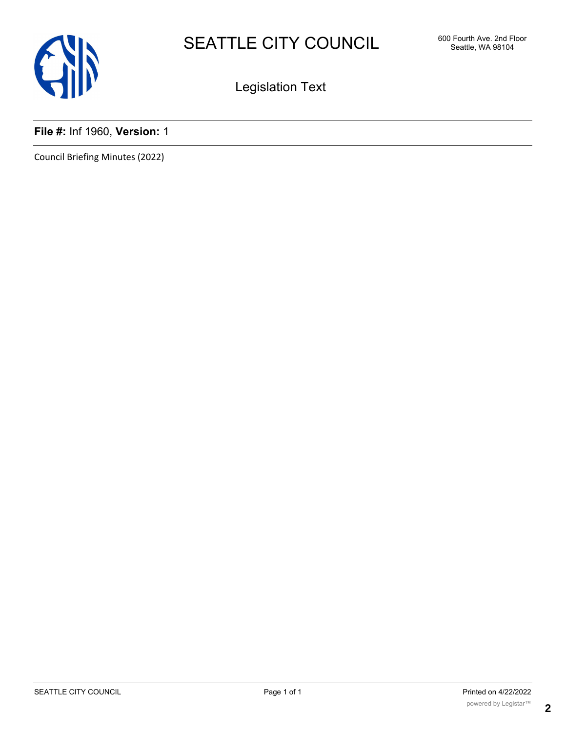

Legislation Text

## **File #:** Inf 1960, **Version:** 1

Council Briefing Minutes (2022)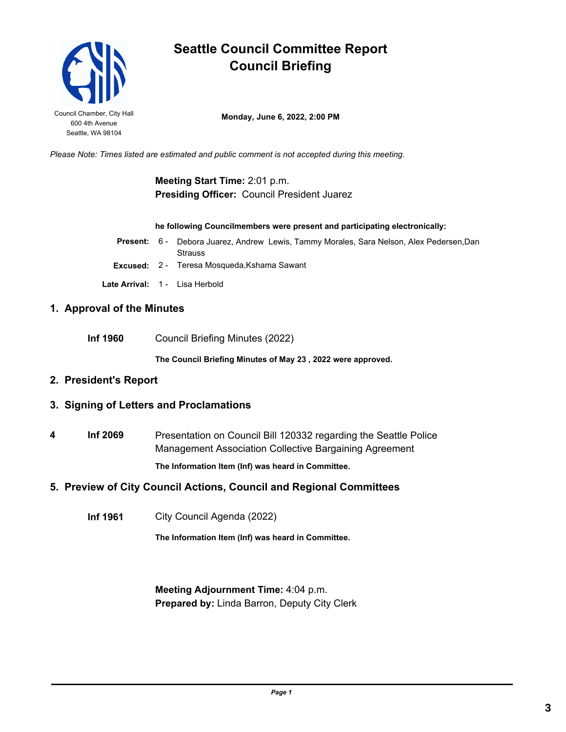

# **Seattle Council Committee Report Council Briefing**

**Council Chamber, City Hall Monday, June 6, 2022, 2:00 PM** 

*Please Note: Times listed are estimated and public comment is not accepted during this meeting.*

### **Meeting Start Time:** 2:01 p.m. **Presiding Officer:** Council President Juarez

#### **he following Councilmembers were present and participating electronically:**

|  | <b>Present:</b> 6 - Debora Juarez, Andrew Lewis, Tammy Morales, Sara Nelson, Alex Pedersen, Dan |
|--|-------------------------------------------------------------------------------------------------|
|  | <b>Strauss</b>                                                                                  |
|  | <b>Excused:</b> 2 - Teresa Mosqueda, Kshama Sawant                                              |
|  | Late Arrival: 1 - Lisa Herbold                                                                  |

#### **1. Approval of the Minutes**

**Inf 1960** Council Briefing Minutes (2022)

**The Council Briefing Minutes of May 23 , 2022 were approved.**

### **2. President's Report**

#### **3. Signing of Letters and Proclamations**

**4 Inf 2069** Presentation on Council Bill 120332 regarding the Seattle Police Management Association Collective Bargaining Agreement **The Information Item (Inf) was heard in Committee.**

**5. Preview of City Council Actions, Council and Regional Committees**

**Inf 1961** City Council Agenda (2022)

**The Information Item (Inf) was heard in Committee.**

**Meeting Adjournment Time:** 4:04 p.m. **Prepared by:** Linda Barron, Deputy City Clerk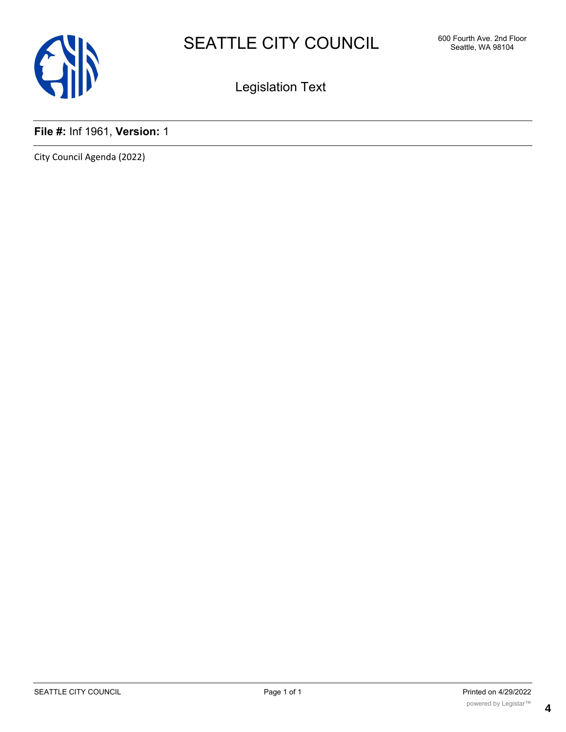

Legislation Text

## **File #:** Inf 1961, **Version:** 1

City Council Agenda (2022)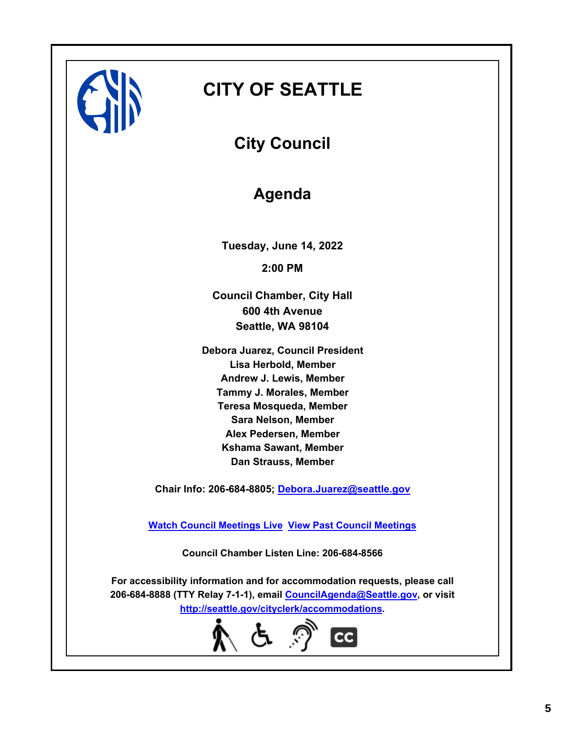

# **CITY OF SEATTLE**

**City Council**

# **Agenda**

**Tuesday, June 14, 2022 2:00 PM**

**Council Chamber, City Hall 600 4th Avenue Seattle, WA 98104**

**Debora Juarez, Council President Lisa Herbold, Member Andrew J. Lewis, Member Tammy J. Morales, Member Teresa Mosqueda, Member Sara Nelson, Member Alex Pedersen, Member Kshama Sawant, Member Dan Strauss, Member**

**Chair Info: 206-684-8805; [Debora.Juarez@seattle.gov](mailto:Debora.Juarez@seattle.gov)**

**[Watch Council Meetings Live](http://www.seattle.gov/council/councillive.htm) [View Past Council Meetings](http://www.seattlechannel.org/videos/browseVideos.asp?topic=council)**

**Council Chamber Listen Line: 206-684-8566**

**For accessibility information and for accommodation requests, please call 206-684-8888 (TTY Relay 7-1-1), email [CouncilAgenda@Seattle.gov](mailto: CouncilAgenda@Seattle.gov), or visit <http://seattle.gov/cityclerk/accommodations>.**

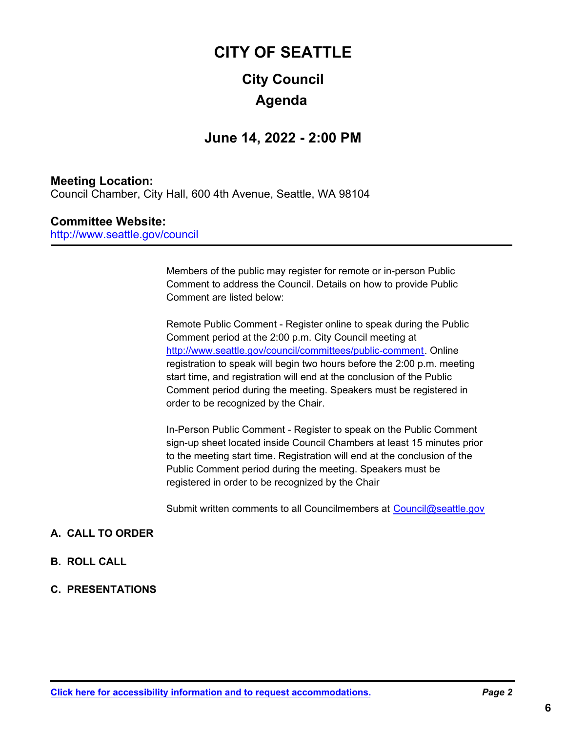# **City Council CITY OF SEATTLE Agenda**

# **June 14, 2022 - 2:00 PM**

### **Meeting Location:**

Council Chamber, City Hall, 600 4th Avenue, Seattle, WA 98104

### **Committee Website:**

http://www.seattle.gov/council

Members of the public may register for remote or in-person Public Comment to address the Council. Details on how to provide Public Comment are listed below:

Remote Public Comment - Register online to speak during the Public Comment period at the 2:00 p.m. City Council meeting at http://www.seattle.gov/council/committees/public-comment. Online registration to speak will begin two hours before the 2:00 p.m. meeting start time, and registration will end at the conclusion of the Public Comment period during the meeting. Speakers must be registered in order to be recognized by the Chair.

In-Person Public Comment - Register to speak on the Public Comment sign-up sheet located inside Council Chambers at least 15 minutes prior to the meeting start time. Registration will end at the conclusion of the Public Comment period during the meeting. Speakers must be registered in order to be recognized by the Chair

Submit written comments to all Councilmembers at Council@seattle.gov

### **A. CALL TO ORDER**

- **B. ROLL CALL**
- **C. PRESENTATIONS**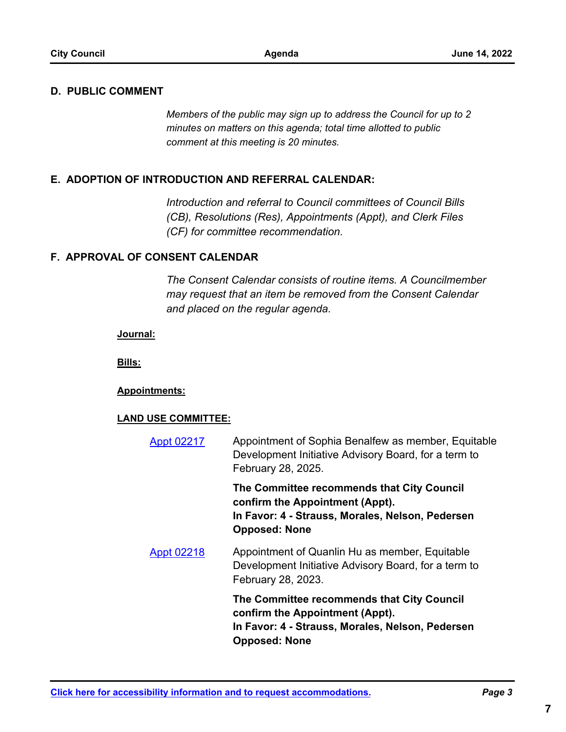### **D. PUBLIC COMMENT**

*Members of the public may sign up to address the Council for up to 2 minutes on matters on this agenda; total time allotted to public comment at this meeting is 20 minutes.*

### **E. ADOPTION OF INTRODUCTION AND REFERRAL CALENDAR:**

*Introduction and referral to Council committees of Council Bills (CB), Resolutions (Res), Appointments (Appt), and Clerk Files (CF) for committee recommendation.*

### **F. APPROVAL OF CONSENT CALENDAR**

*The Consent Calendar consists of routine items. A Councilmember may request that an item be removed from the Consent Calendar and placed on the regular agenda.*

#### **Journal:**

**Bills:**

### **Appointments:**

### **LAND USE COMMITTEE:**

Appointment of Sophia Benalfew as member, Equitable Development Initiative Advisory Board, for a term to February 28, 2025. [Appt 02217](http://seattle.legistar.com/gateway.aspx?m=l&id=/matter.aspx?key=12997)

> **The Committee recommends that City Council confirm the Appointment (Appt). In Favor: 4 - Strauss, Morales, Nelson, Pedersen Opposed: None**

Appointment of Quanlin Hu as member, Equitable Development Initiative Advisory Board, for a term to February 28, 2023. [Appt 02218](http://seattle.legistar.com/gateway.aspx?m=l&id=/matter.aspx?key=12998)

> **The Committee recommends that City Council confirm the Appointment (Appt). In Favor: 4 - Strauss, Morales, Nelson, Pedersen Opposed: None**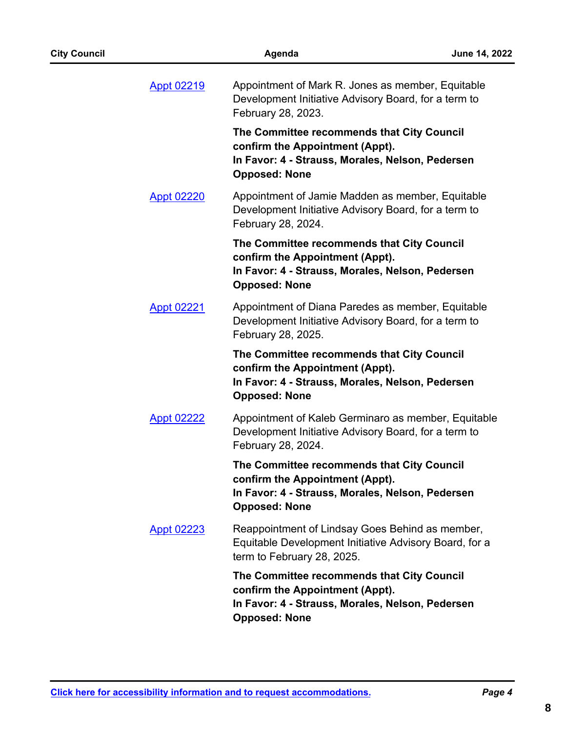| <b>Appt 02219</b> | Appointment of Mark R. Jones as member, Equitable<br>Development Initiative Advisory Board, for a term to<br>February 28, 2023.                           |
|-------------------|-----------------------------------------------------------------------------------------------------------------------------------------------------------|
|                   | The Committee recommends that City Council<br>confirm the Appointment (Appt).<br>In Favor: 4 - Strauss, Morales, Nelson, Pedersen<br><b>Opposed: None</b> |
| <b>Appt 02220</b> | Appointment of Jamie Madden as member, Equitable<br>Development Initiative Advisory Board, for a term to<br>February 28, 2024.                            |
|                   | The Committee recommends that City Council<br>confirm the Appointment (Appt).<br>In Favor: 4 - Strauss, Morales, Nelson, Pedersen<br><b>Opposed: None</b> |
| <b>Appt 02221</b> | Appointment of Diana Paredes as member, Equitable<br>Development Initiative Advisory Board, for a term to<br>February 28, 2025.                           |
|                   | The Committee recommends that City Council<br>confirm the Appointment (Appt).<br>In Favor: 4 - Strauss, Morales, Nelson, Pedersen<br><b>Opposed: None</b> |
| <b>Appt 02222</b> | Appointment of Kaleb Germinaro as member, Equitable<br>Development Initiative Advisory Board, for a term to<br>February 28, 2024.                         |
|                   | The Committee recommends that City Council<br>confirm the Appointment (Appt).<br>In Favor: 4 - Strauss, Morales, Nelson, Pedersen<br><b>Opposed: None</b> |
| <b>Appt 02223</b> | Reappointment of Lindsay Goes Behind as member,<br>Equitable Development Initiative Advisory Board, for a<br>term to February 28, 2025.                   |
|                   | The Committee recommends that City Council<br>confirm the Appointment (Appt).<br>In Favor: 4 - Strauss, Morales, Nelson, Pedersen<br><b>Opposed: None</b> |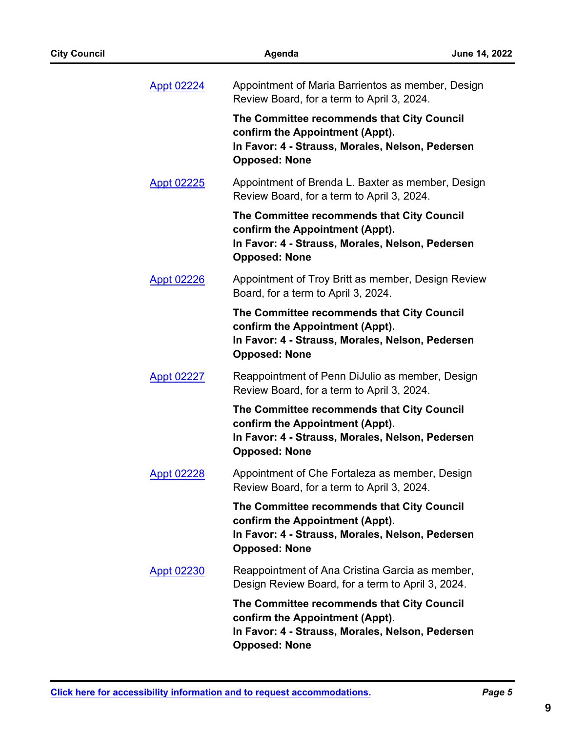| <b>City Council</b> |                   | June 14, 2022                                                                                                                                             |  |
|---------------------|-------------------|-----------------------------------------------------------------------------------------------------------------------------------------------------------|--|
|                     | <b>Appt 02224</b> | Appointment of Maria Barrientos as member, Design<br>Review Board, for a term to April 3, 2024.                                                           |  |
|                     |                   | The Committee recommends that City Council<br>confirm the Appointment (Appt).<br>In Favor: 4 - Strauss, Morales, Nelson, Pedersen<br><b>Opposed: None</b> |  |
|                     | <b>Appt 02225</b> | Appointment of Brenda L. Baxter as member, Design<br>Review Board, for a term to April 3, 2024.                                                           |  |
|                     |                   | The Committee recommends that City Council<br>confirm the Appointment (Appt).<br>In Favor: 4 - Strauss, Morales, Nelson, Pedersen<br><b>Opposed: None</b> |  |
|                     | <b>Appt 02226</b> | Appointment of Troy Britt as member, Design Review<br>Board, for a term to April 3, 2024.                                                                 |  |
|                     |                   | The Committee recommends that City Council<br>confirm the Appointment (Appt).<br>In Favor: 4 - Strauss, Morales, Nelson, Pedersen<br><b>Opposed: None</b> |  |
|                     | <b>Appt 02227</b> | Reappointment of Penn DiJulio as member, Design<br>Review Board, for a term to April 3, 2024.                                                             |  |
|                     |                   | The Committee recommends that City Council<br>confirm the Appointment (Appt).<br>In Favor: 4 - Strauss, Morales, Nelson, Pedersen<br><b>Opposed: None</b> |  |
|                     | Appt 02228        | Appointment of Che Fortaleza as member, Design<br>Review Board, for a term to April 3, 2024.                                                              |  |
|                     |                   | The Committee recommends that City Council<br>confirm the Appointment (Appt).<br>In Favor: 4 - Strauss, Morales, Nelson, Pedersen<br><b>Opposed: None</b> |  |
|                     | <b>Appt 02230</b> | Reappointment of Ana Cristina Garcia as member,<br>Design Review Board, for a term to April 3, 2024.                                                      |  |
|                     |                   | The Committee recommends that City Council<br>confirm the Appointment (Appt).<br>In Favor: 4 - Strauss, Morales, Nelson, Pedersen<br><b>Opposed: None</b> |  |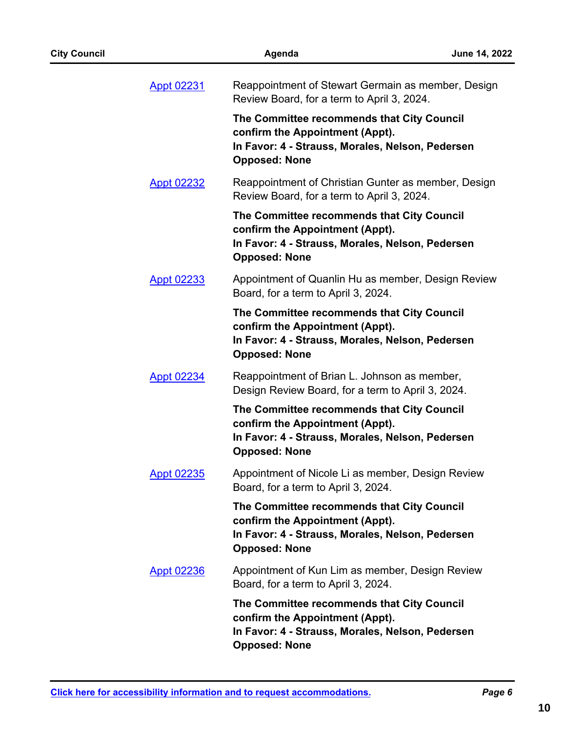| <b>City Council</b> |                   | June 14, 2022                                                                                                                                             |  |
|---------------------|-------------------|-----------------------------------------------------------------------------------------------------------------------------------------------------------|--|
|                     | <b>Appt 02231</b> | Reappointment of Stewart Germain as member, Design<br>Review Board, for a term to April 3, 2024.                                                          |  |
|                     |                   | The Committee recommends that City Council<br>confirm the Appointment (Appt).<br>In Favor: 4 - Strauss, Morales, Nelson, Pedersen<br><b>Opposed: None</b> |  |
|                     | <b>Appt 02232</b> | Reappointment of Christian Gunter as member, Design<br>Review Board, for a term to April 3, 2024.                                                         |  |
|                     |                   | The Committee recommends that City Council<br>confirm the Appointment (Appt).<br>In Favor: 4 - Strauss, Morales, Nelson, Pedersen<br><b>Opposed: None</b> |  |
|                     | Appt 02233        | Appointment of Quanlin Hu as member, Design Review<br>Board, for a term to April 3, 2024.                                                                 |  |
|                     |                   | The Committee recommends that City Council<br>confirm the Appointment (Appt).<br>In Favor: 4 - Strauss, Morales, Nelson, Pedersen<br><b>Opposed: None</b> |  |
|                     | <b>Appt 02234</b> | Reappointment of Brian L. Johnson as member,<br>Design Review Board, for a term to April 3, 2024.                                                         |  |
|                     |                   | The Committee recommends that City Council<br>confirm the Appointment (Appt).<br>In Favor: 4 - Strauss, Morales, Nelson, Pedersen<br><b>Opposed: None</b> |  |
|                     | Appt 02235        | Appointment of Nicole Li as member, Design Review<br>Board, for a term to April 3, 2024.                                                                  |  |
|                     |                   | The Committee recommends that City Council<br>confirm the Appointment (Appt).<br>In Favor: 4 - Strauss, Morales, Nelson, Pedersen<br><b>Opposed: None</b> |  |
|                     | <u>Appt 02236</u> | Appointment of Kun Lim as member, Design Review<br>Board, for a term to April 3, 2024.                                                                    |  |
|                     |                   | The Committee recommends that City Council<br>confirm the Appointment (Appt).<br>In Favor: 4 - Strauss, Morales, Nelson, Pedersen<br><b>Opposed: None</b> |  |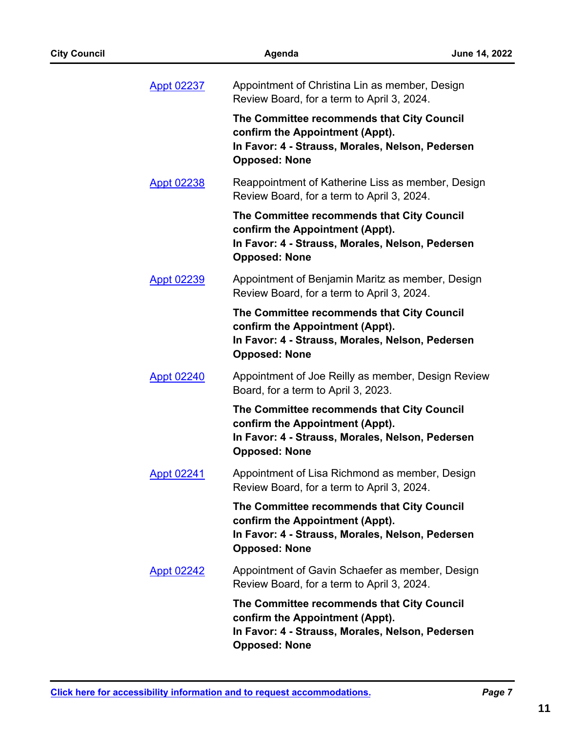| <b>City Council</b> |                   | June 14, 2022                                                                                                                                             |  |
|---------------------|-------------------|-----------------------------------------------------------------------------------------------------------------------------------------------------------|--|
|                     | <b>Appt 02237</b> | Appointment of Christina Lin as member, Design<br>Review Board, for a term to April 3, 2024.                                                              |  |
|                     |                   | The Committee recommends that City Council<br>confirm the Appointment (Appt).<br>In Favor: 4 - Strauss, Morales, Nelson, Pedersen<br><b>Opposed: None</b> |  |
|                     | <b>Appt 02238</b> | Reappointment of Katherine Liss as member, Design<br>Review Board, for a term to April 3, 2024.                                                           |  |
|                     |                   | The Committee recommends that City Council<br>confirm the Appointment (Appt).<br>In Favor: 4 - Strauss, Morales, Nelson, Pedersen<br><b>Opposed: None</b> |  |
|                     | <b>Appt 02239</b> | Appointment of Benjamin Maritz as member, Design<br>Review Board, for a term to April 3, 2024.                                                            |  |
|                     |                   | The Committee recommends that City Council<br>confirm the Appointment (Appt).<br>In Favor: 4 - Strauss, Morales, Nelson, Pedersen<br><b>Opposed: None</b> |  |
|                     | <b>Appt 02240</b> | Appointment of Joe Reilly as member, Design Review<br>Board, for a term to April 3, 2023.                                                                 |  |
|                     |                   | The Committee recommends that City Council<br>confirm the Appointment (Appt).<br>In Favor: 4 - Strauss, Morales, Nelson, Pedersen<br><b>Opposed: None</b> |  |
|                     | <b>Appt 02241</b> | Appointment of Lisa Richmond as member, Design<br>Review Board, for a term to April 3, 2024.                                                              |  |
|                     |                   | The Committee recommends that City Council<br>confirm the Appointment (Appt).<br>In Favor: 4 - Strauss, Morales, Nelson, Pedersen<br><b>Opposed: None</b> |  |
|                     | <b>Appt 02242</b> | Appointment of Gavin Schaefer as member, Design<br>Review Board, for a term to April 3, 2024.                                                             |  |
|                     |                   | The Committee recommends that City Council<br>confirm the Appointment (Appt).<br>In Favor: 4 - Strauss, Morales, Nelson, Pedersen<br><b>Opposed: None</b> |  |
|                     |                   |                                                                                                                                                           |  |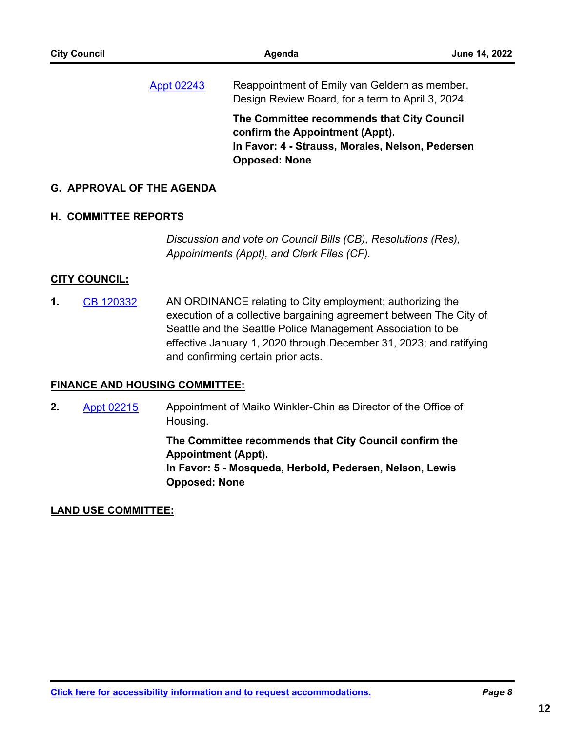**The Committee recommends that City Council confirm the Appointment (Appt). In Favor: 4 - Strauss, Morales, Nelson, Pedersen Opposed: None**

Design Review Board, for a term to April 3, 2024.

### **G. APPROVAL OF THE AGENDA**

### **H. COMMITTEE REPORTS**

*Discussion and vote on Council Bills (CB), Resolutions (Res), Appointments (Appt), and Clerk Files (CF).*

### **CITY COUNCIL:**

AN ORDINANCE relating to City employment; authorizing the execution of a collective bargaining agreement between The City of Seattle and the Seattle Police Management Association to be effective January 1, 2020 through December 31, 2023; and ratifying and confirming certain prior acts. **1.** [CB 120332](http://seattle.legistar.com/gateway.aspx?m=l&id=/matter.aspx?key=12893)

### **FINANCE AND HOUSING COMMITTEE:**

Appointment of Maiko Winkler-Chin as Director of the Office of Housing. **2.** [Appt 02215](http://seattle.legistar.com/gateway.aspx?m=l&id=/matter.aspx?key=12963)

> **The Committee recommends that City Council confirm the Appointment (Appt).**

> **In Favor: 5 - Mosqueda, Herbold, Pedersen, Nelson, Lewis Opposed: None**

### **LAND USE COMMITTEE:**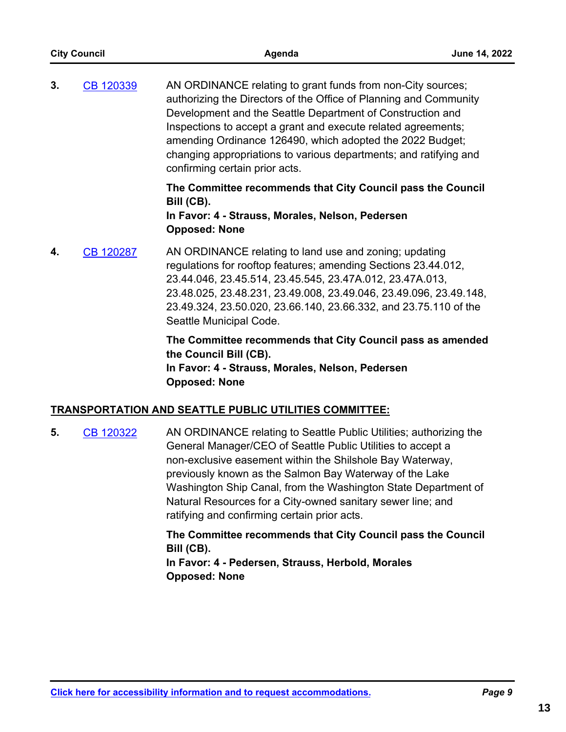| <b>City Council</b> |                  | Agenda                                                                                                                                                                                                                                                                                                                                                                                                                              | June 14, 2022 |
|---------------------|------------------|-------------------------------------------------------------------------------------------------------------------------------------------------------------------------------------------------------------------------------------------------------------------------------------------------------------------------------------------------------------------------------------------------------------------------------------|---------------|
| 3.                  | CB 120339        | AN ORDINANCE relating to grant funds from non-City sources;<br>authorizing the Directors of the Office of Planning and Community<br>Development and the Seattle Department of Construction and<br>Inspections to accept a grant and execute related agreements;<br>amending Ordinance 126490, which adopted the 2022 Budget;<br>changing appropriations to various departments; and ratifying and<br>confirming certain prior acts. |               |
|                     |                  | The Committee recommends that City Council pass the Council<br>Bill (CB).<br>In Favor: 4 - Strauss, Morales, Nelson, Pedersen<br><b>Opposed: None</b>                                                                                                                                                                                                                                                                               |               |
| 4.                  | <b>CB 120287</b> | AN ORDINANCE relating to land use and zoning; updating<br>regulations for rooftop features; amending Sections 23.44.012,<br>23.44.046, 23.45.514, 23.45.545, 23.47A.012, 23.47A.013,<br>23.48.025, 23.48.231, 23.49.008, 23.49.046, 23.49.096, 23.49.148,<br>23.49.324, 23.50.020, 23.66.140, 23.66.332, and 23.75.110 of the<br>Seattle Municipal Code.                                                                            |               |
|                     |                  | The Committee recommends that City Council pass as amended<br>the Council Bill (CB).<br>In Eavor 4 - Strause Morales Nelson Pedersen                                                                                                                                                                                                                                                                                                |               |

In Favor: 4 - Strauss, Morales, Nelson, **F Opposed: None**

### **TRANSPORTATION AND SEATTLE PUBLIC UTILITIES COMMITTEE:**

AN ORDINANCE relating to Seattle Public Utilities; authorizing the General Manager/CEO of Seattle Public Utilities to accept a non-exclusive easement within the Shilshole Bay Waterway, previously known as the Salmon Bay Waterway of the Lake Washington Ship Canal, from the Washington State Department of Natural Resources for a City-owned sanitary sewer line; and ratifying and confirming certain prior acts. **5.** [CB 120322](http://seattle.legistar.com/gateway.aspx?m=l&id=/matter.aspx?key=12821)

> **The Committee recommends that City Council pass the Council Bill (CB).**

**In Favor: 4 - Pedersen, Strauss, Herbold, Morales Opposed: None**